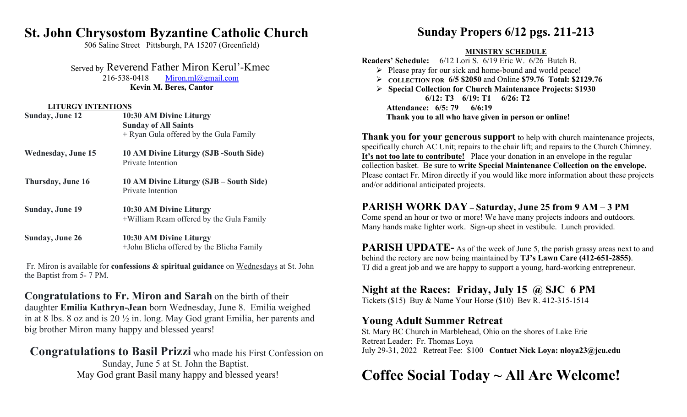# **St. John Chrysostom Byzantine Catholic Church**

506 Saline Street Pittsburgh, PA 15207 (Greenfield)

Served by Reverend Father Miron Kerul'-Kmec

216-538-0418 Miron.ml@gmail.com **Kevin M. Beres, Cantor**

#### **LITURGY INTENTIONS**

| <b>Sunday, June 12</b>    | 10:30 AM Divine Liturgy<br><b>Sunday of All Saints</b><br>+ Ryan Gula offered by the Gula Family |
|---------------------------|--------------------------------------------------------------------------------------------------|
| <b>Wednesday, June 15</b> | 10 AM Divine Liturgy (SJB -South Side)<br>Private Intention                                      |
| Thursday, June 16         | 10 AM Divine Liturgy (SJB – South Side)<br>Private Intention                                     |
| <b>Sunday, June 19</b>    | 10:30 AM Divine Liturgy<br>+William Ream offered by the Gula Family                              |
| <b>Sunday, June 26</b>    | 10:30 AM Divine Liturgy<br>+John Blicha offered by the Blicha Family                             |

 Fr. Miron is available for **confessions & spiritual guidance** on Wednesdays at St. John the Baptist from 5- 7 PM.

**Congratulations to Fr. Miron and Sarah** on the birth of their daughter **Emilia Kathryn-Jean** born Wednesday, June 8. Emilia weighed in at 8 lbs. 8 oz and is 20 ½ in. long. May God grant Emilia, her parents and big brother Miron many happy and blessed years!

**Congratulations to Basil Prizzi** who made his First Confession on Sunday, June 5 at St. John the Baptist. May God grant Basil many happy and blessed years!

# **Sunday Propers 6/12 pgs. 211-213**

#### **MINISTRY SCHEDULE**

**Readers' Schedule:** 6/12 Lori S. 6/19 Eric W. 6/26 Butch B.

- $\triangleright$  Please pray for our sick and home-bound and world peace!
- **COLLECTION FOR 6/5 \$2050** and Online **\$79.76 Total: \$2129.76**
- **Special Collection for Church Maintenance Projects: \$1930 6/12: T3 6/19: T1 6/26: T2 Attendance: 6/5: 79 6/6:19 Thank you to all who have given in person or online!**

**Thank you for your generous support** to help with church maintenance projects, specifically church AC Unit; repairs to the chair lift; and repairs to the Church Chimney. **It's not too late to contribute!** Place your donation in an envelope in the regular collection basket. Be sure to **write Special Maintenance Collection on the envelope.** Please contact Fr. Miron directly if you would like more information about these projects and/or additional anticipated projects.

## **PARISH WORK DAY** – **Saturday, June 25 from 9 AM – 3 PM**

Come spend an hour or two or more! We have many projects indoors and outdoors. Many hands make lighter work. Sign-up sheet in vestibule. Lunch provided.

**PARISH UPDATE-** As of the week of June 5, the parish grassy areas next to and behind the rectory are now being maintained by **TJ's Lawn Care (412-651-2855)**. TJ did a great job and we are happy to support a young, hard-working entrepreneur.

### **Night at the Races: Friday, July 15 @ SJC 6 PM**

Tickets (\$15) Buy & Name Your Horse (\$10) Bev R. 412-315-1514

#### **Young Adult Summer Retreat**

St. Mary BC Church in Marblehead, Ohio on the shores of Lake Erie Retreat Leader: Fr. Thomas Loya July 29-31, 2022 Retreat Fee: \$100 **Contact Nick Loya: nloya23@jcu.edu**

# **Coffee Social Today ~ All Are Welcome!**